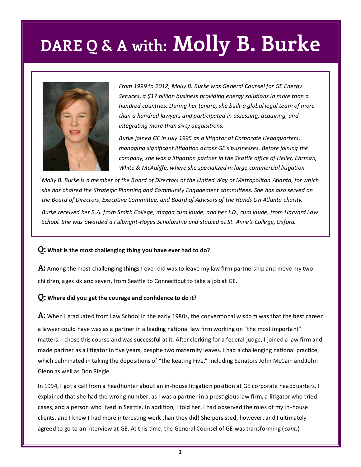

*From 1999 to 2012, Molly B. Burke was General Counsel for GE Energy Services, a \$17 billion business providing energy solutions in more than a hundred countries. During her tenure, she built a global legal team of more than a hundred lawyers and participated in assessing, acquiring, and integrating more than sixty acquisitions.* 

*Burke joined GE in July 1995 as a litigator at Corporate Headquarters, managing significant litigation across GE's businesses. Before joining the company, she was a litigation partner in the Seattle office of Heller, Ehrman, White & McAuliffe, where she specialized in large commercial litigation.* 

*Molly B. Burke is a member of the Board of Directors of the United Way of Metropolitan Atlanta, for which she has chaired the Strategic Planning and Community Engagement committees. She has also served on the Board of Directors, Executive Committee, and Board of Advisors of the Hands On Atlanta charity.*

*Burke received her B.A. from Smith College, magna cum laude, and her J.D., cum laude, from Harvard Law School. She was awarded a Fulbright-Hayes Scholarship and studied at St. Anne's College, Oxford.* 

#### **Q: What is the most challenging thing you have ever had to do?**

**A:** Among the most challenging things I ever did was to leave my law firm partnership and move my two children, ages six and seven, from Seattle to Connecticut to take a job at GE.

#### **Q: Where did you get the courage and confidence to do it?**

A: When I graduated from Law School in the early 1980s, the conventional wisdom was that the best career a lawyer could have was as a partner in a leading national law firm working on "the most important" matters. I chose this course and was successful at it. After clerking for a federal judge, I joined a law firm and made partner as a litigator in five years, despite two maternity leaves. I had a challenging national practice, which culminated in taking the depositions of "the Keating Five," including Senators John McCain and John Glenn as well as Don Riegle.

In 1994, I got a call from a headhunter about an in-house litigation position at GE corporate headquarters. I explained that she had the wrong number, as I was a partner in a prestigious law firm, a litigator who tried cases, and a person who lived in Seattle. In addition, I told her, I had observed the roles of my in-house clients, and I knew I had more interesting work than they did! She persisted, however, and I ultimately agreed to go to an interview at GE. At this time, the General Counsel of GE was transforming (*cont.*)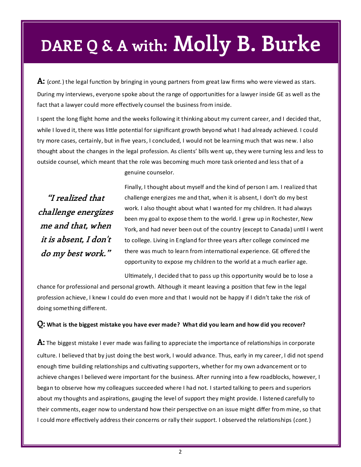**A:** (*cont.*) the legal function by bringing in young partners from great law firms who were viewed as stars. During my interviews, everyone spoke about the range of opportunities for a lawyer inside GE as well as the fact that a lawyer could more effectively counsel the business from inside.

I spent the long flight home and the weeks following it thinking about my current career, and I decided that, while I loved it, there was little potential for significant growth beyond what I had already achieved. I could try more cases, certainly, but in five years, I concluded, I would not be learning much that was new. I also thought about the changes in the legal profession. As clients' bills went up, they were turning less and less to outside counsel, which meant that the role was becoming much more task oriented and less that of a

genuine counselor.

**"I realized that challenge energizes me and that, when it is absent, I don't do my best work."**

Finally, I thought about myself and the kind of person I am. I realized that challenge energizes me and that, when it is absent, I don't do my best work. I also thought about what I wanted for my children. It had always been my goal to expose them to the world. I grew up in Rochester, New York, and had never been out of the country (except to Canada) until I went to college. Living in England for three years after college convinced me there was much to learn from international experience. GE offered the opportunity to expose my children to the world at a much earlier age.

Ultimately, I decided that to pass up this opportunity would be to lose a

chance for professional and personal growth. Although it meant leaving a position that few in the legal profession achieve, I knew I could do even more and that I would not be happy if I didn't take the risk of doing something different.

#### **Q: What is the biggest mistake you have ever made? What did you learn and how did you recover?**

**A:** The biggest mistake I ever made was failing to appreciate the importance of relationships in corporate culture. I believed that by just doing the best work, I would advance. Thus, early in my career, I did not spend enough time building relationships and cultivating supporters, whether for my own advancement or to achieve changes I believed were important for the business. After running into a few roadblocks, however, I began to observe how my colleagues succeeded where I had not. I started talking to peers and superiors about my thoughts and aspirations, gauging the level of support they might provide. I listened carefully to their comments, eager now to understand how their perspective on an issue might differ from mine, so that I could more effectively address their concerns or rally their support. I observed the relationships (*cont.*)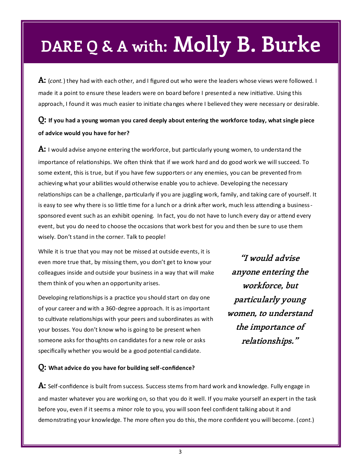**A:** (*cont.*) they had with each other, and I figured out who were the leaders whose views were followed. I made it a point to ensure these leaders were on board before I presented a new initiative. Using this approach, I found it was much easier to initiate changes where I believed they were necessary or desirable.

### **Q: If you had a young woman you cared deeply about entering the workforce today, what single piece of advice would you have for her?**

**A:** I would advise anyone entering the workforce, but particularly young women, to understand the importance of relationships. We often think that if we work hard and do good work we will succeed. To some extent, this is true, but if you have few supporters or any enemies, you can be prevented from achieving what your abilities would otherwise enable you to achieve. Developing the necessary relationships can be a challenge, particularly if you are juggling work, family, and taking care of yourself. It is easy to see why there is so little time for a lunch or a drink after work, much less attending a businesssponsored event such as an exhibit opening. In fact, you do not have to lunch every day or attend every event, but you do need to choose the occasions that work best for you and then be sure to use them wisely. Don't stand in the corner. Talk to people!

While it is true that you may not be missed at outside events, it is even more true that, by missing them, you don't get to know your colleagues inside and outside your business in a way that will make them think of you when an opportunity arises.

Developing relationships is a practice you should start on day one of your career and with a 360-degree approach. It is as important to cultivate relationships with your peers and subordinates as with your bosses. You don't know who is going to be present when someone asks for thoughts on candidates for a new role or asks specifically whether you would be a good potential candidate.

**Q: What advice do you have for building self-confidence?**

**"I would advise anyone entering the workforce, but particularly young women, to understand the importance of relationships."**

**A:** Self-confidence is built from success. Success stems from hard work and knowledge. Fully engage in and master whatever you are working on, so that you do it well. If you make yourself an expert in the task before you, even if it seems a minor role to you, you will soon feel confident talking about it and demonstrating your knowledge. The more often you do this, the more confident you will become. ( *cont.*)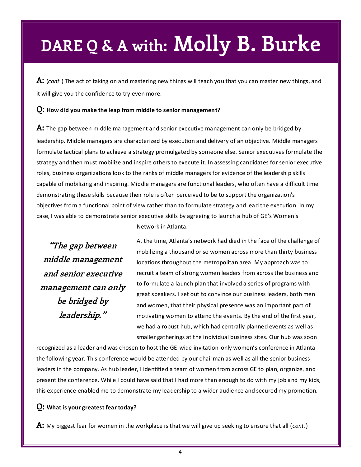**A:** (*cont.*) The act of taking on and mastering new things will teach you that you can master new things, and it will give you the confidence to try even more.

#### **Q: How did you make the leap from middle to senior management?**

**A:** The gap between middle management and senior executive management can only be bridged by leadership. Middle managers are characterized by execution and delivery of an objective. Middle managers formulate tactical plans to achieve a strategy promulgated by someone else. Senior executives formulate the strategy and then must mobilize and inspire others to execute it. In assessing candidates for senior executive roles, business organizations look to the ranks of middle managers for evidence of the leadership skills capable of mobilizing and inspiring. Middle managers are functional leaders, who often have a difficult time demonstrating these skills because their role is often perceived to be to support the organization's objectives from a functional point of view rather than to formulate strategy and lead the execution. In my case, I was able to demonstrate senior executive skills by agreeing to launch a hub of GE's Women's

**"The gap between middle management and senior executive management can only be bridged by leadership."**

Network in Atlanta.

At the time, Atlanta's network had died in the face of the challenge of mobilizing a thousand or so women across more than thirty business locations throughout the metropolitan area. My approach was to recruit a team of strong women leaders from across the business and to formulate a launch plan that involved a series of programs with great speakers. I set out to convince our business leaders, both men and women, that their physical presence was an important part of motivating women to attend the events. By the end of the first year, we had a robust hub, which had centrally planned events as well as smaller gatherings at the individual business sites. Our hub was soon

recognized as a leader and was chosen to host the GE-wide invitation-only women's conference in Atlanta the following year. This conference would be attended by our chairman as well as all the senior business leaders in the company. As hub leader, I identified a team of women from across GE to plan, organize, and present the conference. While I could have said that I had more than enough to do with my job and my kids, this experience enabled me to demonstrate my leadership to a wider audience and secured my promotion.

#### **Q: What is your greatest fear today?**

**A:** My biggest fear for women in the workplace is that we will give up seeking to ensure that all (*cont.*)

4